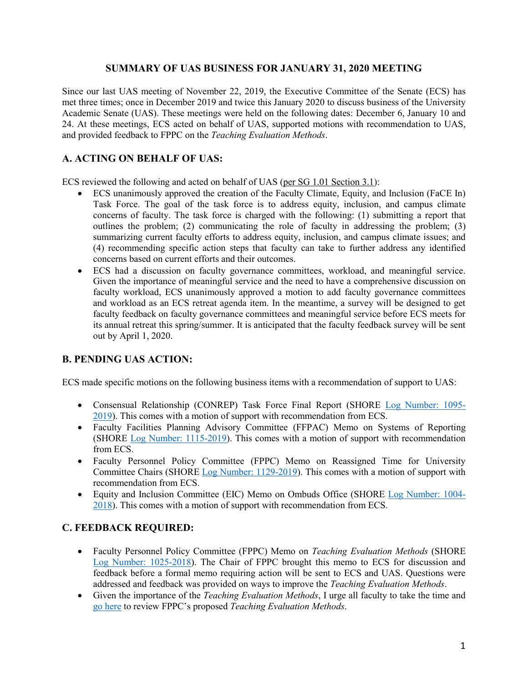### **SUMMARY OF UAS BUSINESS FOR JANUARY 31, 2020 MEETING**

Since our last UAS meeting of November 22, 2019, the Executive Committee of the Senate (ECS) has met three times; once in December 2019 and twice this January 2020 to discuss business of the University Academic Senate (UAS). These meetings were held on the following dates: December 6, January 10 and 24. At these meetings, ECS acted on behalf of UAS, supported motions with recommendation to UAS, and provided feedback to FPPC on the *Teaching Evaluation Methods*.

# **A. ACTING ON BEHALF OF UAS:**

ECS reviewed the following and acted on behalf of UAS [\(per SG 1.01 Section 3.1\)](https://www.gvsu.edu/policies/policy.htm?policyId=3BE4D7D6-F74C-23A7-311B867FBDBE4500&search=acting+on+behalf+of+UAS):

- ECS unanimously approved the creation of the Faculty Climate, Equity, and Inclusion (FaCE In) Task Force. The goal of the task force is to address equity, inclusion, and campus climate concerns of faculty. The task force is charged with the following: (1) submitting a report that outlines the problem; (2) communicating the role of faculty in addressing the problem; (3) summarizing current faculty efforts to address equity, inclusion, and campus climate issues; and (4) recommending specific action steps that faculty can take to further address any identified concerns based on current efforts and their outcomes.
- ECS had a discussion on faculty governance committees, workload, and meaningful service. Given the importance of meaningful service and the need to have a comprehensive discussion on faculty workload, ECS unanimously approved a motion to add faculty governance committees and workload as an ECS retreat agenda item. In the meantime, a survey will be designed to get faculty feedback on faculty governance committees and meaningful service before ECS meets for its annual retreat this spring/summer. It is anticipated that the faculty feedback survey will be sent out by April 1, 2020.

## **B. PENDING UAS ACTION:**

ECS made specific motions on the following business items with a recommendation of support to UAS:

- Consensual Relationship (CONREP) Task Force Final Report (SHORE [Log Number: 1095-](https://intranet.gvsu.edu/shore/charge-pending_uas.htm?status=76DB4C92-F056-0D09-E053460A3D94FB35) [2019\)](https://intranet.gvsu.edu/shore/charge-pending_uas.htm?status=76DB4C92-F056-0D09-E053460A3D94FB35). This comes with a motion of support with recommendation from ECS.
- Faculty Facilities Planning Advisory Committee (FFPAC) Memo on Systems of Reporting (SHORE [Log Number: 1115-2019\)](https://intranet.gvsu.edu/shore/charge-pending_uas.htm?status=76DB4C92-F056-0D09-E053460A3D94FB35). This comes with a motion of support with recommendation from ECS.
- Faculty Personnel Policy Committee (FPPC) Memo on Reassigned Time for University Committee Chairs (SHORE [Log Number: 1129-2019\)](https://intranet.gvsu.edu/shore/charge-pending_uas.htm?status=76DB4C92-F056-0D09-E053460A3D94FB35). This comes with a motion of support with recommendation from ECS.
- Equity and Inclusion Committee (EIC) Memo on Ombuds Office (SHORE Log Number: 1004- 2018). This comes with a motion of support with recommendation from ECS.

## **C. FEEDBACK REQUIRED:**

- Faculty Personnel Policy Committee (FPPC) Memo on *Teaching Evaluation Methods* (SHORE Log [Number: 1025-2018\)](https://intranet.gvsu.edu/shore/charge-tag_view.htm?tagId=79784C27-47EE-5DB5-E053460A3D94C3DB). The Chair of FPPC brought this memo to ECS for discussion and feedback before a formal memo requiring action will be sent to ECS and UAS. Questions were addressed and feedback was provided on ways to improve the *Teaching Evaluation Methods*.
- Given the importance of the *Teaching Evaluation Methods*, I urge all faculty to take the time and [go here](https://intranet.gvsu.edu/shore/charge-view.htm?chargeId=C3124460-CFFD-5C6F-181445ACCEA914B8) to review FPPC's proposed *Teaching Evaluation Methods*.